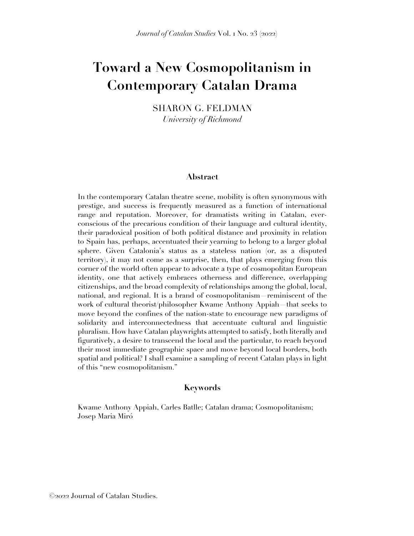# **Toward a New Cosmopolitanism in Contemporary Catalan Drama**

SHARON G. FELDMAN *University of Richmond*

#### **Abstract**

In the contemporary Catalan theatre scene, mobility is often synonymous with prestige, and success is frequently measured as a function of international range and reputation. Moreover, for dramatists writing in Catalan, everconscious of the precarious condition of their language and cultural identity, their paradoxical position of both political distance and proximity in relation to Spain has, perhaps, accentuated their yearning to belong to a larger global sphere. Given Catalonia's status as a stateless nation (or, as a disputed territory), it may not come as a surprise, then, that plays emerging from this corner of the world often appear to advocate a type of cosmopolitan European identity, one that actively embraces otherness and difference, overlapping citizenships, and the broad complexity of relationships among the global, local, national, and regional. It is a brand of cosmopolitanism—reminiscent of the work of cultural theorist/philosopher Kwame Anthony Appiah—that seeks to move beyond the confines of the nation-state to encourage new paradigms of solidarity and interconnectedness that accentuate cultural and linguistic pluralism. How have Catalan playwrights attempted to satisfy, both literally and figuratively, a desire to transcend the local and the particular, to reach beyond their most immediate geographic space and move beyond local borders, both spatial and political? I shall examine a sampling of recent Catalan plays in light of this "new cosmopolitanism."

### **Keywords**

Kwame Anthony Appiah, Carles Batlle; Catalan drama; Cosmopolitanism; Josep Maria Miró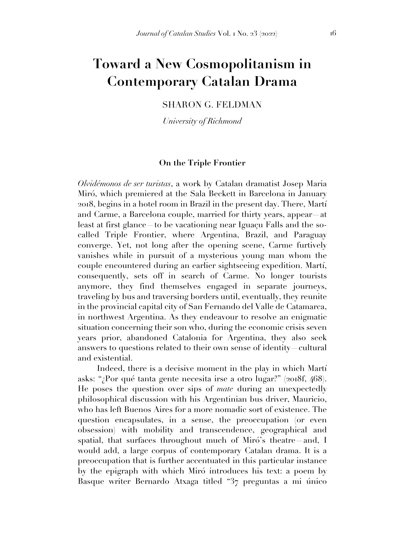## **Toward a New Cosmopolitanism in Contemporary Catalan Drama**

SHARON G. FELDMAN

*University of Richmond*

### **On the Triple Frontier**

*Olvidémonos de ser turistas*, a work by Catalan dramatist Josep Maria Miró, which premiered at the Sala Beckett in Barcelona in January 2018, begins in a hotel room in Brazil in the present day. There, Martí and Carme, a Barcelona couple, married for thirty years, appear—at least at first glance—to be vacationing near Iguaçu Falls and the socalled Triple Frontier, where Argentina, Brazil, and Paraguay converge. Yet, not long after the opening scene, Carme furtively vanishes while in pursuit of a mysterious young man whom the couple encountered during an earlier sightseeing expedition. Martí, consequently, sets off in search of Carme. No longer tourists anymore, they find themselves engaged in separate journeys, traveling by bus and traversing borders until, eventually, they reunite in the provincial capital city of San Fernando del Valle de Catamarca, in northwest Argentina. As they endeavour to resolve an enigmatic situation concerning their son who, during the economic crisis seven years prior, abandoned Catalonia for Argentina, they also seek answers to questions related to their own sense of identity—cultural and existential.

Indeed, there is a decisive moment in the play in which Martí asks: "¿Por qué tanta gente necesita irse a otro lugar?" (2018f, 468). He poses the question over sips of *mate* during an unexpectedly philosophical discussion with his Argentinian bus driver, Mauricio, who has left Buenos Aires for a more nomadic sort of existence. The question encapsulates, in a sense, the preoccupation (or even obsession) with mobility and transcendence, geographical and spatial, that surfaces throughout much of Miró's theatre—and, I would add, a large corpus of contemporary Catalan drama. It is a preoccupation that is further accentuated in this particular instance by the epigraph with which Miró introduces his text: a poem by Basque writer Bernardo Atxaga titled "37 preguntas a mi único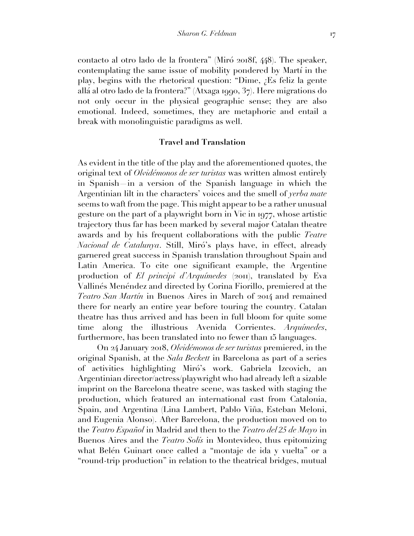contacto al otro lado de la frontera" (Miró 2018f, 448). The speaker, contemplating the same issue of mobility pondered by Martí in the play, begins with the rhetorical question: "Dime, ¿Es feliz la gente allá al otro lado de la frontera?" (Atxaga 1990, 37). Here migrations do not only occur in the physical geographic sense; they are also emotional. Indeed, sometimes, they are metaphoric and entail a break with monolinguistic paradigms as well.

#### **Travel and Translation**

As evident in the title of the play and the aforementioned quotes, the original text of *Olvidémonos de ser turistas* was written almost entirely in Spanish—in a version of the Spanish language in which the Argentinian lilt in the characters' voices and the smell of *yerba mate* seems to waft from the page. This might appear to be a rather unusual gesture on the part of a playwright born in Vic in 1977, whose artistic trajectory thus far has been marked by several major Catalan theatre awards and by his frequent collaborations with the public *Teatre Nacional de Catalunya*. Still, Miró's plays have, in effect, already garnered great success in Spanish translation throughout Spain and Latin America. To cite one significant example, the Argentine production of *El principi d'Arquímedes* (2011), translated by Eva Vallinés Menéndez and directed by Corina Fiorillo, premiered at the *Teatro San Martín* in Buenos Aires in March of 2014 and remained there for nearly an entire year before touring the country. Catalan theatre has thus arrived and has been in full bloom for quite some time along the illustrious Avenida Corrientes. *Arquímedes*, furthermore, has been translated into no fewer than 15 languages.

On 24 January 2018, *Olvidémonos de ser turistas* premiered, in the original Spanish, at the *Sala Beckett* in Barcelona as part of a series of activities highlighting Miró's work. Gabriela Izcovich, an Argentinian director/actress/playwright who had already left a sizable imprint on the Barcelona theatre scene, was tasked with staging the production, which featured an international cast from Catalonia, Spain, and Argentina (Lina Lambert, Pablo Viña, Esteban Meloni, and Eugenia Alonso). After Barcelona, the production moved on to the *Teatro Español* in Madrid and then to the *Teatro del 25 de Mayo* in Buenos Aires and the *Teatro Solís* in Montevideo, thus epitomizing what Belén Guinart once called a "montaje de ida y vuelta" or a "round-trip production" in relation to the theatrical bridges, mutual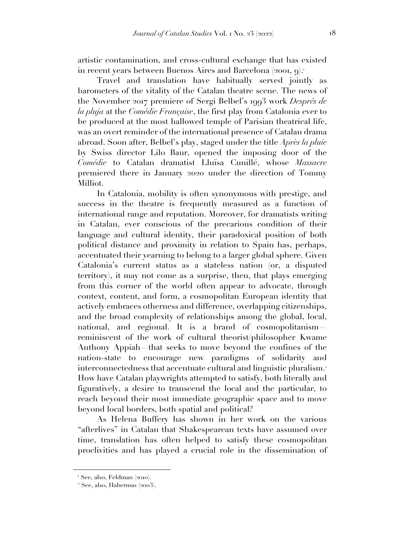artistic contamination, and cross-cultural exchange that has existed in recent years between Buenos Aires and Barcelona (2001, 9). 1

Travel and translation have habitually served jointly as barometers of the vitality of the Catalan theatre scene. The news of the November 2017 premiere of Sergi Belbel's 1993 work *Després de la pluja* at the *Comédie Française*, the first play from Catalonia ever to be produced at the most hallowed temple of Parisian theatrical life, was an overt reminder of the international presence of Catalan drama abroad. Soon after, Belbel's play, staged under the title *Après la pluie* by Swiss director Lilo Baur, opened the imposing door of the *Comédie* to Catalan dramatist Lluïsa Cunillé, whose *Massacre* premiered there in January 2020 under the direction of Tommy Milliot.

In Catalonia, mobility is often synonymous with prestige, and success in the theatre is frequently measured as a function of international range and reputation. Moreover, for dramatists writing in Catalan, ever conscious of the precarious condition of their language and cultural identity, their paradoxical position of both political distance and proximity in relation to Spain has, perhaps, accentuated their yearning to belong to a larger global sphere. Given Catalonia's current status as a stateless nation (or, a disputed territory), it may not come as a surprise, then, that plays emerging from this corner of the world often appear to advocate, through context, content, and form, a cosmopolitan European identity that actively embraces otherness and difference, overlapping citizenships, and the broad complexity of relationships among the global, local, national, and regional. It is a brand of cosmopolitanism reminiscent of the work of cultural theorist/philosopher Kwame Anthony Appiah—that seeks to move beyond the confines of the nation-state to encourage new paradigms of solidarity and interconnectedness that accentuate cultural and linguistic pluralism.<sup>2</sup> How have Catalan playwrights attempted to satisfy, both literally and figuratively, a desire to transcend the local and the particular, to reach beyond their most immediate geographic space and to move beyond local borders, both spatial and political?

As Helena Buffery has shown in her work on the various "afterlives" in Catalan that Shakespearean texts have assumed over time, translation has often helped to satisfy these cosmopolitan proclivities and has played a crucial role in the dissemination of

<sup>1</sup> See, also, Feldman (2010).

<sup>2</sup> See, also, Habermas (2003).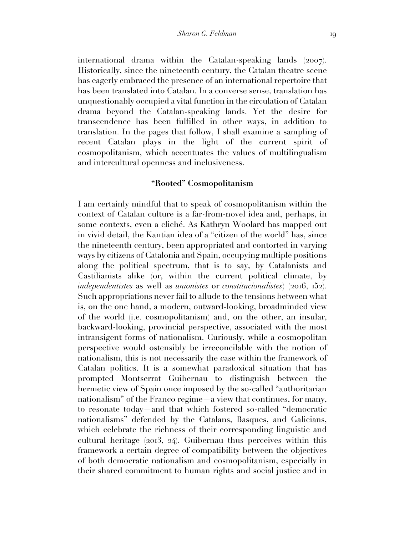international drama within the Catalan-speaking lands (2007). Historically, since the nineteenth century, the Catalan theatre scene has eagerly embraced the presence of an international repertoire that has been translated into Catalan. In a converse sense, translation has unquestionably occupied a vital function in the circulation of Catalan drama beyond the Catalan-speaking lands. Yet the desire for transcendence has been fulfilled in other ways, in addition to translation. In the pages that follow, I shall examine a sampling of recent Catalan plays in the light of the current spirit of cosmopolitanism, which accentuates the values of multilingualism and intercultural openness and inclusiveness.

## **"Rooted" Cosmopolitanism**

I am certainly mindful that to speak of cosmopolitanism within the context of Catalan culture is a far-from-novel idea and, perhaps, in some contexts, even a cliché. As Kathryn Woolard has mapped out in vivid detail, the Kantian idea of a "citizen of the world" has, since the nineteenth century, been appropriated and contorted in varying ways by citizens of Catalonia and Spain, occupying multiple positions along the political spectrum, that is to say, by Catalanists and Castilianists alike (or, within the current political climate, by *independentistes* as well as *unionistes* or *constitucionalistes*) (2016, 152). Such appropriations never fail to allude to the tensions between what is, on the one hand, a modern, outward-looking, broadminded view of the world (i.e. cosmopolitanism) and, on the other, an insular, backward-looking, provincial perspective, associated with the most intransigent forms of nationalism. Curiously, while a cosmopolitan perspective would ostensibly be irreconcilable with the notion of nationalism, this is not necessarily the case within the framework of Catalan politics. It is a somewhat paradoxical situation that has prompted Montserrat Guibernau to distinguish between the hermetic view of Spain once imposed by the so-called "authoritarian nationalism" of the Franco regime—a view that continues, for many, to resonate today—and that which fostered so-called "democratic nationalisms" defended by the Catalans, Basques, and Galicians, which celebrate the richness of their corresponding linguistic and cultural heritage (2013, 24). Guibernau thus perceives within this framework a certain degree of compatibility between the objectives of both democratic nationalism and cosmopolitanism, especially in their shared commitment to human rights and social justice and in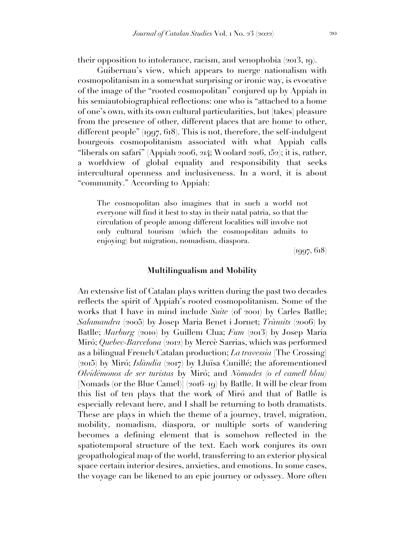their opposition to intolerance, racism, and xenophobia (2013, 19).

Guibernau's view, which appears to merge nationalism with cosmopolitanism in a somewhat surprising or ironic way, is evocative of the image of the "rooted cosmopolitan" conjured up by Appiah in his semiautobiographical reflections: one who is "attached to a home of one's own, with its own cultural particularities, but [takes] pleasure from the presence of other, different places that are home to other, different people" (1997, 618). This is not, therefore, the self-indulgent bourgeois cosmopolitanism associated with what Appiah calls "liberals on safari" (Appiah 2006, 214; Woolard 2016, 152); it is, rather, a worldview of global equality and responsibility that seeks intercultural openness and inclusiveness. In a word, it is about "community." According to Appiah:

The cosmopolitan also imagines that in such a world not everyone will find it best to stay in their natal patria, so that the circulation of people among different localities will involve not only cultural tourism (which the cosmopolitan admits to enjoying) but migration, nomadism, diaspora.

(1997, 618)

#### **Multilingualism and Mobility**

An extensive list of Catalan plays written during the past two decades reflects the spirit of Appiah's rooted cosmopolitanism. Some of the works that I have in mind include *Suite* (of 2001) by Carles Batlle; *Salamandra* (2005) by Josep Maria Benet i Jornet; *Trànsits* (2006) by Batlle; *Marburg* (2010) by Guillem Clua; *Fum* (2013) by Josep Maria Miró; *Quebec-Barcelona* (2012) by Mercè Sarrias, which was performed as a bilingual French/Catalan production; *La travessia* [The Crossing] (2015) by Miró; *Islàndia* (2017) by Lluïsa Cunillé; the aforementioned *Olvidémonos de ser turistas* by Miró; and *Nòmades (o el camell blau)* [Nomads (or the Blue Camel)] (2016–19) by Batlle. It will be clear from this list of ten plays that the work of Miró and that of Batlle is especially relevant here, and I shall be returning to both dramatists. These are plays in which the theme of a journey, travel, migration, mobility, nomadism, diaspora, or multiple sorts of wandering becomes a defining element that is somehow reflected in the spatiotemporal structure of the text. Each work conjures its own geopathological map of the world, transferring to an exterior physical space certain interior desires, anxieties, and emotions. In some cases, the voyage can be likened to an epic journey or odyssey. More often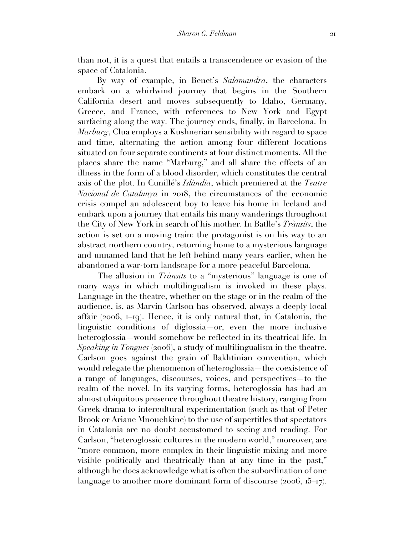than not, it is a quest that entails a transcendence or evasion of the space of Catalonia.

By way of example, in Benet's *Salamandra*, the characters embark on a whirlwind journey that begins in the Southern California desert and moves subsequently to Idaho, Germany, Greece, and France, with references to New York and Egypt surfacing along the way. The journey ends, finally, in Barcelona. In *Marburg*, Clua employs a Kushnerian sensibility with regard to space and time, alternating the action among four different locations situated on four separate continents at four distinct moments. All the places share the name "Marburg," and all share the effects of an illness in the form of a blood disorder, which constitutes the central axis of the plot. In Cunillé's *Islàndia*, which premiered at the *Teatre Nacional de Catalunya* in 2018, the circumstances of the economic crisis compel an adolescent boy to leave his home in Iceland and embark upon a journey that entails his many wanderings throughout the City of New York in search of his mother. In Batlle's *Trànsits*, the action is set on a moving train: the protagonist is on his way to an abstract northern country, returning home to a mysterious language and unnamed land that he left behind many years earlier, when he abandoned a war-torn landscape for a more peaceful Barcelona.

The allusion in *Trànsits* to a "mysterious" language is one of many ways in which multilingualism is invoked in these plays. Language in the theatre, whether on the stage or in the realm of the audience, is, as Marvin Carlson has observed, always a deeply local affair (2006, 1–19). Hence, it is only natural that, in Catalonia, the linguistic conditions of diglossia—or, even the more inclusive heteroglossia—would somehow be reflected in its theatrical life. In *Speaking in Tongues* (2006), a study of multilingualism in the theatre, Carlson goes against the grain of Bakhtinian convention, which would relegate the phenomenon of heteroglossia—the coexistence of a range of languages, discourses, voices, and perspectives—to the realm of the novel. In its varying forms, heteroglossia has had an almost ubiquitous presence throughout theatre history, ranging from Greek drama to intercultural experimentation (such as that of Peter Brook or Ariane Mnouchkine) to the use of supertitles that spectators in Catalonia are no doubt accustomed to seeing and reading. For Carlson, "heteroglossic cultures in the modern world," moreover, are "more common, more complex in their linguistic mixing and more visible politically and theatrically than at any time in the past," although he does acknowledge what is often the subordination of one language to another more dominant form of discourse  $(2006, 15, 17)$ .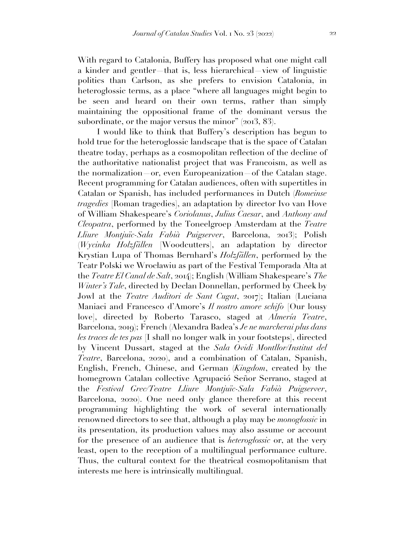With regard to Catalonia, Buffery has proposed what one might call a kinder and gentler—that is, less hierarchical—view of linguistic politics than Carlson, as she prefers to envision Catalonia, in heteroglossic terms, as a place "where all languages might begin to be seen and heard on their own terms, rather than simply maintaining the oppositional frame of the dominant versus the subordinate, or the major versus the minor" (2013, 83).

I would like to think that Buffery's description has begun to hold true for the heteroglossic landscape that is the space of Catalan theatre today, perhaps as a cosmopolitan reflection of the decline of the authoritative nationalist project that was Francoism, as well as the normalization—or, even Europeanization—of the Catalan stage. Recent programming for Catalan audiences, often with supertitles in Catalan or Spanish, has included performances in Dutch (*Romeinse tragedies* [Roman tragedies], an adaptation by director Ivo van Hove of William Shakespeare's *Coriolanus*, *Julius Caesar*, and *Anthony and Cleopatra*, performed by the Toneelgroep Amsterdam at the *Teatre Lliure Montjuïc-Sala Fabià Puigserver*, Barcelona, 2013); Polish (*Wycinka Holzfällen* [Woodcutters], an adaptation by director Krystian Lupa of Thomas Bernhard's *Holzfällen*, performed by the Teatr Polski we Wrocławiu as part of the Festival Temporada Alta at the *Teatre El Canal de Salt*, 2014); English (William Shakespeare's *The Winter's Tale*, directed by Declan Donnellan, performed by Cheek by Jowl at the *Teatre Auditori de Sant Cugat*, 2017); Italian (Luciana Maniaci and Francesco d'Amore's *Il nostro amore schifo* [Our lousy love], directed by Roberto Tarasco, staged at *Almería Teatre*, Barcelona, 2019); French (Alexandra Badea's *Je ne marcherai plus dans les traces de tes pas* [I shall no longer walk in your footsteps], directed by Vincent Dussart, staged at the *Sala Ovidi Montllor/Institut del Teatre*, Barcelona, 2020), and a combination of Catalan, Spanish, English, French, Chinese, and German (*Kingdom*, created by the homegrown Catalan collective Agrupació Señor Serrano, staged at the *Festival Grec/Teatre Lliure Montjuïc-Sala Fabià Puigserver*, Barcelona, 2020). One need only glance therefore at this recent programming highlighting the work of several internationally renowned directors to see that, although a play may be *monoglossic* in its presentation, its production values may also assume or account for the presence of an audience that is *heteroglossic* or, at the very least, open to the reception of a multilingual performance culture. Thus, the cultural context for the theatrical cosmopolitanism that interests me here is intrinsically multilingual.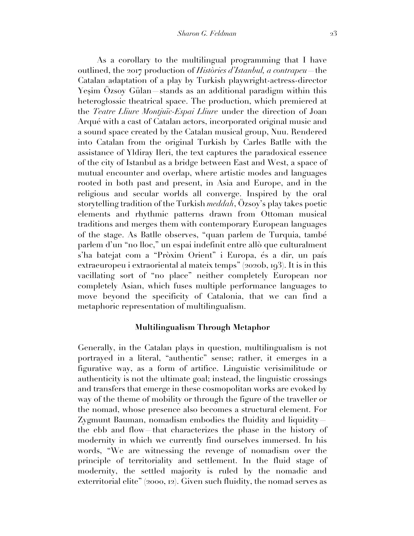As a corollary to the multilingual programming that I have outlined, the 2017 production of *Històries d'Istanbul, a contrapeu*—the Catalan adaptation of a play by Turkish playwright-actress-director Yeşim Özsoy Gülan—stands as an additional paradigm within this heteroglossic theatrical space. The production, which premiered at the *Teatre Lliure Montjuïc-Espai Lliure* under the direction of Joan Arqué with a cast of Catalan actors, incorporated original music and a sound space created by the Catalan musical group, Nuu. Rendered into Catalan from the original Turkish by Carles Batlle with the assistance of Yldiray Ileri, the text captures the paradoxical essence of the city of Istanbul as a bridge between East and West, a space of mutual encounter and overlap, where artistic modes and languages rooted in both past and present, in Asia and Europe, and in the religious and secular worlds all converge. Inspired by the oral storytelling tradition of the Turkish *meddah*, Özsoy's play takes poetic elements and rhythmic patterns drawn from Ottoman musical traditions and merges them with contemporary European languages of the stage. As Batlle observes, "quan parlem de Turquia, també parlem d'un "no lloc," un espai indefinit entre allò que culturalment s'ha batejat com a "Pròxim Orient" i Europa, és a dir, un país extraeuropeu i extraoriental al mateix temps" (2020b, 193). It is in this vacillating sort of "no place" neither completely European nor completely Asian, which fuses multiple performance languages to move beyond the specificity of Catalonia, that we can find a metaphoric representation of multilingualism.

## **Multilingualism Through Metaphor**

Generally, in the Catalan plays in question, multilingualism is not portrayed in a literal, "authentic" sense; rather, it emerges in a figurative way, as a form of artifice. Linguistic verisimilitude or authenticity is not the ultimate goal; instead, the linguistic crossings and transfers that emerge in these cosmopolitan works are evoked by way of the theme of mobility or through the figure of the traveller or the nomad, whose presence also becomes a structural element. For Zygmunt Bauman, nomadism embodies the fluidity and liquidity the ebb and flow—that characterizes the phase in the history of modernity in which we currently find ourselves immersed. In his words, "We are witnessing the revenge of nomadism over the principle of territoriality and settlement. In the fluid stage of modernity, the settled majority is ruled by the nomadic and exterritorial elite" (2000, 12). Given such fluidity, the nomad serves as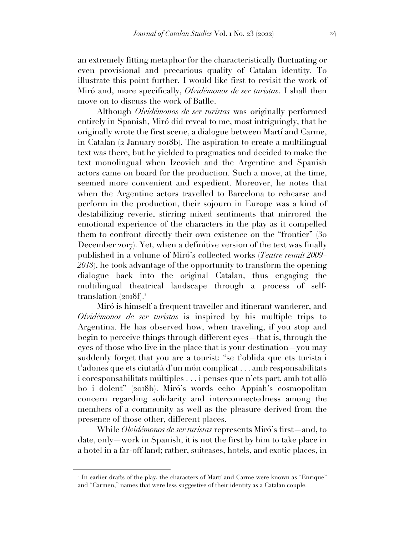an extremely fitting metaphor for the characteristically fluctuating or even provisional and precarious quality of Catalan identity. To illustrate this point further, I would like first to revisit the work of Miró and, more specifically, *Olvidémonos de ser turistas*. I shall then move on to discuss the work of Batlle.

Although *Olvidémonos de ser turistas* was originally performed entirely in Spanish, Miró did reveal to me, most intriguingly, that he originally wrote the first scene, a dialogue between Martí and Carme, in Catalan (2 January 2018b). The aspiration to create a multilingual text was there, but he yielded to pragmatics and decided to make the text monolingual when Izcovich and the Argentine and Spanish actors came on board for the production. Such a move, at the time, seemed more convenient and expedient. Moreover, he notes that when the Argentine actors travelled to Barcelona to rehearse and perform in the production, their sojourn in Europe was a kind of destabilizing reverie, stirring mixed sentiments that mirrored the emotional experience of the characters in the play as it compelled them to confront directly their own existence on the "frontier" (30 December 2017). Yet, when a definitive version of the text was finally published in a volume of Miró's collected works (*Teatre reunit 2009– 2018*), he took advantage of the opportunity to transform the opening dialogue back into the original Catalan, thus engaging the multilingual theatrical landscape through a process of selftranslation  $(2018f)^3$ .

Miró is himself a frequent traveller and itinerant wanderer, and *Olvidémonos de ser turistas* is inspired by his multiple trips to Argentina. He has observed how, when traveling, if you stop and begin to perceive things through different eyes—that is, through the eyes of those who live in the place that is your destination—you may suddenly forget that you are a tourist: "se t'oblida que ets turista i t'adones que ets ciutadà d'un món complicat . . . amb responsabilitats i coresponsabilitats múltiples . . . i penses que n'ets part, amb tot allò bo i dolent" (2018b). Miró's words echo Appiah's cosmopolitan concern regarding solidarity and interconnectedness among the members of a community as well as the pleasure derived from the presence of those other, different places.

While *Olvidémonos de ser turistas* represents Miró's first—and, to date, only—work in Spanish, it is not the first by him to take place in a hotel in a far-off land; rather, suitcases, hotels, and exotic places, in

<sup>&</sup>lt;sup>3</sup> In earlier drafts of the play, the characters of Martí and Carme were known as "Enrique" and "Carmen," names that were less suggestive of their identity as a Catalan couple.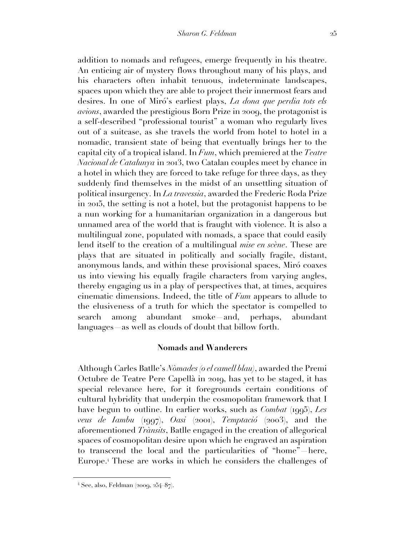addition to nomads and refugees, emerge frequently in his theatre. An enticing air of mystery flows throughout many of his plays, and his characters often inhabit tenuous, indeterminate landscapes, spaces upon which they are able to project their innermost fears and desires. In one of Miró's earliest plays, *La dona que perdia tots els avions*, awarded the prestigious Born Prize in 2009, the protagonist is a self-described "professional tourist" a woman who regularly lives out of a suitcase, as she travels the world from hotel to hotel in a nomadic, transient state of being that eventually brings her to the capital city of a tropical island. In *Fum*, which premiered at the *Teatre Nacional de Catalunya* in 2013, two Catalan couples meet by chance in a hotel in which they are forced to take refuge for three days, as they suddenly find themselves in the midst of an unsettling situation of political insurgency. In *La travessia*, awarded the Frederic Roda Prize in 2015, the setting is not a hotel, but the protagonist happens to be a nun working for a humanitarian organization in a dangerous but unnamed area of the world that is fraught with violence. It is also a multilingual zone, populated with nomads, a space that could easily lend itself to the creation of a multilingual *mise en scène*. These are plays that are situated in politically and socially fragile, distant, anonymous lands, and within these provisional spaces, Miró coaxes us into viewing his equally fragile characters from varying angles, thereby engaging us in a play of perspectives that, at times, acquires cinematic dimensions. Indeed, the title of *Fum* appears to allude to the elusiveness of a truth for which the spectator is compelled to search among abundant smoke—and, perhaps, abundant languages—as well as clouds of doubt that billow forth.

## **Nomads and Wanderers**

Although Carles Batlle's *Nòmades (o el camell blau)*, awarded the Premi Octubre de Teatre Pere Capellà in 2019, has yet to be staged, it has special relevance here, for it foregrounds certain conditions of cultural hybridity that underpin the cosmopolitan framework that I have begun to outline. In earlier works, such as *Combat* (1995), *Les veus de Iambu* (1997), *Oasi* (2001), *Temptació* (2003), and the aforementioned *Trànsits*, Batlle engaged in the creation of allegorical spaces of cosmopolitan desire upon which he engraved an aspiration to transcend the local and the particularities of "home"—here, Europe.<sup>4</sup> These are works in which he considers the challenges of

 $4$  See, also, Feldman (2009, 254–87).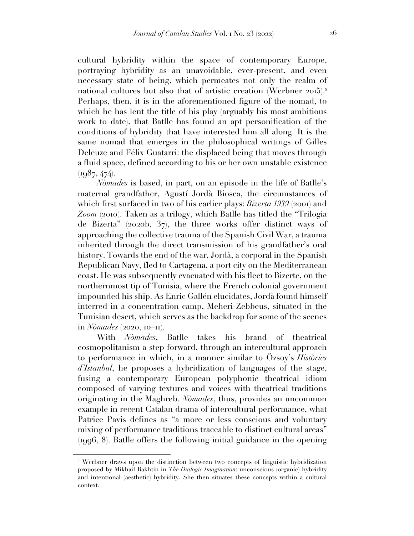cultural hybridity within the space of contemporary Europe, portraying hybridity as an unavoidable, ever-present, and even necessary state of being, which permeates not only the realm of national cultures but also that of artistic creation (Werbner 2015).<sup>5</sup> Perhaps, then, it is in the aforementioned figure of the nomad, to which he has lent the title of his play (arguably his most ambitious work to date), that Batlle has found an apt personification of the conditions of hybridity that have interested him all along. It is the same nomad that emerges in the philosophical writings of Gilles Deleuze and Félix Guatarri: the displaced being that moves through a fluid space, defined according to his or her own unstable existence  $(1987, 474)$ .

*Nòmades* is based, in part, on an episode in the life of Batlle's maternal grandfather, Agustí Jordà Biosca, the circumstances of which first surfaced in two of his earlier plays: *Bizerta 1939* (2001) and Zoom (2010). Taken as a trilogy, which Batlle has titled the "Trilogia" de Bizerta" (2020b, 37), the three works offer distinct ways of approaching the collective trauma of the Spanish Civil War, a trauma inherited through the direct transmission of his grandfather's oral history. Towards the end of the war, Jordà, a corporal in the Spanish Republican Navy, fled to Cartagena, a port city on the Mediterranean coast. He was subsequently evacuated with his fleet to Bizerte, on the northernmost tip of Tunisia, where the French colonial government impounded his ship. As Enric Gallén elucidates, Jordà found himself interred in a concentration camp, Meheri-Zebbeus, situated in the Tunisian desert, which serves as the backdrop for some of the scenes in *Nòmades* (2020, 10–11).

With *Nòmades*, Batlle takes his brand of theatrical cosmopolitanism a step forward, through an intercultural approach to performance in which, in a manner similar to Özsoy's *Històries d'Istanbul*, he proposes a hybridization of languages of the stage, fusing a contemporary European polyphonic theatrical idiom composed of varying textures and voices with theatrical traditions originating in the Maghreb. *Nòmades*, thus, provides an uncommon example in recent Catalan drama of intercultural performance, what Patrice Pavis defines as "a more or less conscious and voluntary mixing of performance traditions traceable to distinct cultural areas" (1996, 8). Batlle offers the following initial guidance in the opening

<sup>&</sup>lt;sup>5</sup> Werbner draws upon the distinction between two concepts of linguistic hybridization proposed by Mikhail Bakhtin in *The Dialogic Imagination*: unconscious (organic) hybridity and intentional (aesthetic) hybridity. She then situates these concepts within a cultural context.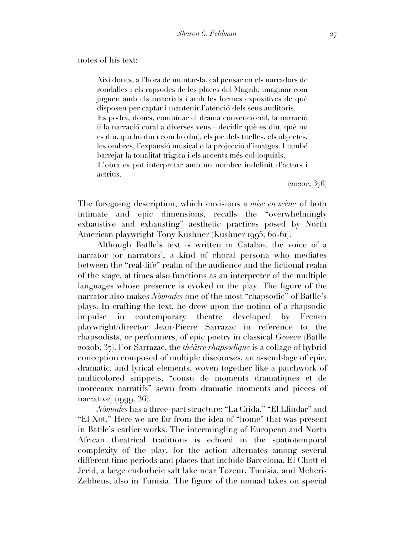### notes of his text:

Així doncs, a l'hora de muntar-la, cal pensar en els narradors de rondalles i els rapsodes de les places del Magrib: imaginar com juguen amb els materials i amb les formes expositives de què disposen per captar i mantenir l'atenció dels seus auditoris. Es podrà, doncs, combinar el drama convencional, la narració (i la narració́coral a diverses veus—decidir què es diu, què no es diu, qui ho diu i com ho diu), els joc dels titelles, els objectes, les ombres, l'expansió musical o la projecció d'imatges. I també́ barrejar la tonalitat tràgica i els accents més col·loquials. L'obra es pot interpretar amb un nombre indefinit d'actors i actrius.

(2020e, 376)

The foregoing description, which envisions a *mise en scène* of both intimate and epic dimensions, recalls the "overwhelmingly exhaustive and exhausting" aesthetic practices posed by North American playwright Tony Kushner (Kushner 1995, 60-61).

Although Batlle's text is written in Catalan, the voice of a narrator (or narrators), a kind of choral persona who mediates between the "real-life" realm of the audience and the fictional realm of the stage, at times also functions as an interpreter of the multiple languages whose presence is evoked in the play. The figure of the narrator also makes *Nòmades* one of the most "rhapsodic" of Batlle's plays. In crafting the text, he drew upon the notion of a rhapsodic impulse in contemporary theatre developed by French playwright/director Jean-Pierre Sarrazac in reference to the rhapsodists, or performers, of epic poetry in classical Greece (Batlle 2020b, 37). For Sarrazac, the *théâtre rhapsodique* is a collage of hybrid conception composed of multiple discourses, an assemblage of epic, dramatic, and lyrical elements, woven together like a patchwork of multicolored snippets, "cousu de moments dramatiques et de morceaux narratifs" [sewn from dramatic moments and pieces of narrative] (1999, 36).

*Nòmades* has a three-part structure: "La Crida," "El Llindar" and "El Xot." Here we are far from the idea of "home" that was present in Batlle's earlier works. The intermingling of European and North African theatrical traditions is echoed in the spatiotemporal complexity of the play, for the action alternates among several different time periods and places that include Barcelona, El Chott el Jerid, a large endorheic salt lake near Tozeur, Tunisia, and Meheri-Zebbeus, also in Tunisia. The figure of the nomad takes on special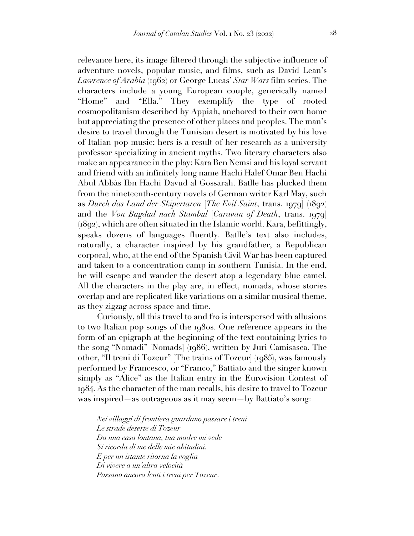relevance here, its image filtered through the subjective influence of adventure novels, popular music, and films, such as David Lean's *Lawrence of Arabia* (1962) or George Lucas' *Star Wars* film series. The characters include a young European couple, generically named "Home" and "Ella." They exemplify the type of rooted cosmopolitanism described by Appiah, anchored to their own home but appreciating the presence of other places and peoples. The man's desire to travel through the Tunisian desert is motivated by his love of Italian pop music; hers is a result of her research as a university professor specializing in ancient myths. Two literary characters also make an appearance in the play: Kara Ben Nemsi and his loyal servant and friend with an infinitely long name Hachi Halef Omar Ben Hachi Abul Abbàs Ibn Hachi Davud al Gossarah. Batlle has plucked them from the nineteenth-century novels of German writer Karl May, such as *Durch das Land der Skipertaren* [*The Evil Saint*, trans. 1979] (1892) and the *Von Bagdad nach Stambul* [*Caravan of Death*, trans. 1979] (1892), which are often situated in the Islamic world. Kara, befittingly, speaks dozens of languages fluently. Batlle's text also includes, naturally, a character inspired by his grandfather, a Republican corporal, who, at the end of the Spanish Civil War has been captured and taken to a concentration camp in southern Tunisia. In the end, he will escape and wander the desert atop a legendary blue camel. All the characters in the play are, in effect, nomads, whose stories overlap and are replicated like variations on a similar musical theme, as they zigzag across space and time.

Curiously, all this travel to and fro is interspersed with allusions to two Italian pop songs of the 1980s. One reference appears in the form of an epigraph at the beginning of the text containing lyrics to the song "Nomadi" [Nomads] (1986), written by Juri Camisasca. The other, "Il treni di Tozeur" [The trains of Tozeur] (1985), was famously performed by Francesco, or "Franco," Battiato and the singer known simply as "Alice" as the Italian entry in the Eurovision Contest of 1984. As the character of the man recalls, his desire to travel to Tozeur was inspired—as outrageous as it may seem—by Battiato's song:

*Nei villaggi di frontiera guardano passare i treni Le strade deserte di Tozeur Da una casa lontana, tua madre mi vede Si ricorda di me delle mie abitudini. E per un istante ritorna la voglia Di vivere a un'altra velocità Passano ancora lenti i treni per Tozeur*.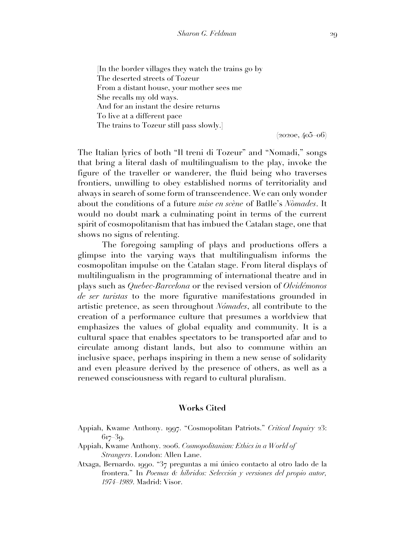[In the border villages they watch the trains go by The deserted streets of Tozeur From a distant house, your mother sees me She recalls my old ways. And for an instant the desire returns To live at a different pace The trains to Tozeur still pass slowly.]

 $(2020e, 405, 06)$ 

The Italian lyrics of both "Il treni di Tozeur" and "Nomadi," songs that bring a literal dash of multilingualism to the play, invoke the figure of the traveller or wanderer, the fluid being who traverses frontiers, unwilling to obey established norms of territoriality and always in search of some form of transcendence. We can only wonder about the conditions of a future *mise en scène* of Batlle's *Nòmades*. It would no doubt mark a culminating point in terms of the current spirit of cosmopolitanism that has imbued the Catalan stage, one that shows no signs of relenting.

The foregoing sampling of plays and productions offers a glimpse into the varying ways that multilingualism informs the cosmopolitan impulse on the Catalan stage. From literal displays of multilingualism in the programming of international theatre and in plays such as *Quebec-Barcelona* or the revised version of *Olvidémonos de ser turistas* to the more figurative manifestations grounded in artistic pretence, as seen throughout *Nómades*, all contribute to the creation of a performance culture that presumes a worldview that emphasizes the values of global equality and community. It is a cultural space that enables spectators to be transported afar and to circulate among distant lands, but also to commune within an inclusive space, perhaps inspiring in them a new sense of solidarity and even pleasure derived by the presence of others, as well as a renewed consciousness with regard to cultural pluralism.

#### **Works Cited**

- Appiah, Kwame Anthony. 1997. "Cosmopolitan Patriots." *Critical Inquiry* 23: 617–39.
- Appiah, Kwame Anthony. 2006. *Cosmopolitanism: Ethics in a World of Strangers*. London: Allen Lane.
- Atxaga, Bernardo. 1990. "37 preguntas a mi único contacto al otro lado de la frontera." In *Poemas & híbridos: Selección y versiones del propio autor, 1974–1989*. Madrid: Visor.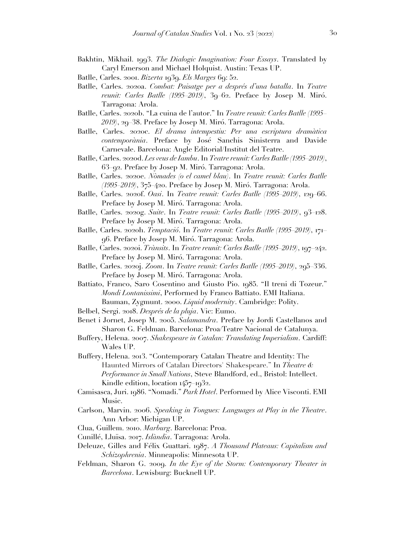- Bakhtin, Mikhail. 1993. *The Dialogic Imagination: Four Essays*. Translated by Caryl Emerson and Michael Holquist. Austin: Texas UP.
- Batlle, Carles. 2001. *Bizerta* 1939. *Els Marges* 69: 52.
- Batlle, Carles. 2020a. *Combat: Paisatge per a després d'una batalla*. In *Teatre reunit: Carles Batlle (1995–2019)*, 39–62. Preface by Josep M. Miró. Tarragona: Arola.
- Batlle, Carles. 2020b. "La cuina de l'autor." In *Teatre reunit: Carles Batlle (1995– 2019)*, 29–38. Preface by Josep M. Miró. Tarragona: Arola.
- Batlle, Carles. 2020c. *El drama intempestiu: Per una escriptura dramàtica contemporània*. Preface by José Sanchis Sinisterra and Davide Carnevale. Barcelona: Angle Editorial/Institut del Teatre.
- Batlle, Carles. 2020d. *Les veus de Iambu*. In *Teatre reunit: Carles Batlle (1995–2019)*, 63–92. Preface by Josep M. Miró. Tarragona: Arola.
- Batlle, Carles. 2020e. *Nòmades (o el camel blau)*. In *Teatre reunit: Carles Batlle (1995–2019)*, 375–420. Preface by Josep M. Miró. Tarragona: Arola.
- Batlle, Carles. 2020f. *Oasi*. In *Teatre reunit: Carles Batlle (1995–2019)*, 129–66. Preface by Josep M. Miró. Tarragona: Arola.
- Batlle, Carles. 2020g. *Suite*. In *Teatre reunit: Carles Batlle (1995–2019)*, 93–128. Preface by Josep M. Miró. Tarragona: Arola.
- Batlle, Carles. 2020h. *Temptació*. In *Teatre reunit: Carles Batlle (1995–2019)*, 171– 96. Preface by Josep M. Miró. Tarragona: Arola.
- Batlle, Carles. 2020i. *Trànsits*. In *Teatre reunit: Carles Batlle (1995–2019)*, 197–242. Preface by Josep M. Miró. Tarragona: Arola.
- Batlle, Carles. 2020j. *Zoom*. In *Teatre reunit: Carles Batlle (1995–2019)*, 295–336. Preface by Josep M. Miró. Tarragona: Arola.
- Battiato, Franco, Saro Cosentino and Giusto Pio. 1985. "Il treni di Tozeur." *Mondi Lontanissimi*, Performed by Franco Battiato. EMI Italiana. Bauman, Zygmunt. 2000. *Liquid modernity*. Cambridge: Polity.
- Belbel, Sergi. 2018. *Després de la pluja*. Vic: Eumo.
- Benet i Jornet, Josep M. 2005. *Salamandra*. Preface by Jordi Castellanos and Sharon G. Feldman. Barcelona: Proa/Teatre Nacional de Catalunya.
- Buffery, Helena. 2007. *Shakespeare in Catalan: Translating Imperialism*. Cardiff: Wales UP.
- Buffery, Helena. 2013. "Contemporary Catalan Theatre and Identity: The Haunted Mirrors of Catalan Directors' Shakespeare." In *Theatre & Performance in Small Nations*, Steve Blandford, ed., Bristol: Intellect. Kindle edition, location 1457–1932.
- Camisasca, Juri. 1986. "Nomadi." *Park Hotel*. Performed by Alice Visconti. EMI Music.
- Carlson, Marvin. 2006. *Speaking in Tongues: Languages at Play in the Theatre*. Ann Arbor: Michigan UP.
- Clua, Guillem. 2010. *Marburg*. Barcelona: Proa.
- Cunillé, Lluïsa. 2017. *Islàndia*. Tarragona: Arola.
- Deleuze, Gilles and Félix Guattari. 1987. *A Thousand Plateaus: Capitalism and Schizophrenia*. Minneapolis: Minnesota UP.
- Feldman, Sharon G. 2009. *In the Eye of the Storm: Contemporary Theater in Barcelona*. Lewisburg: Bucknell UP.